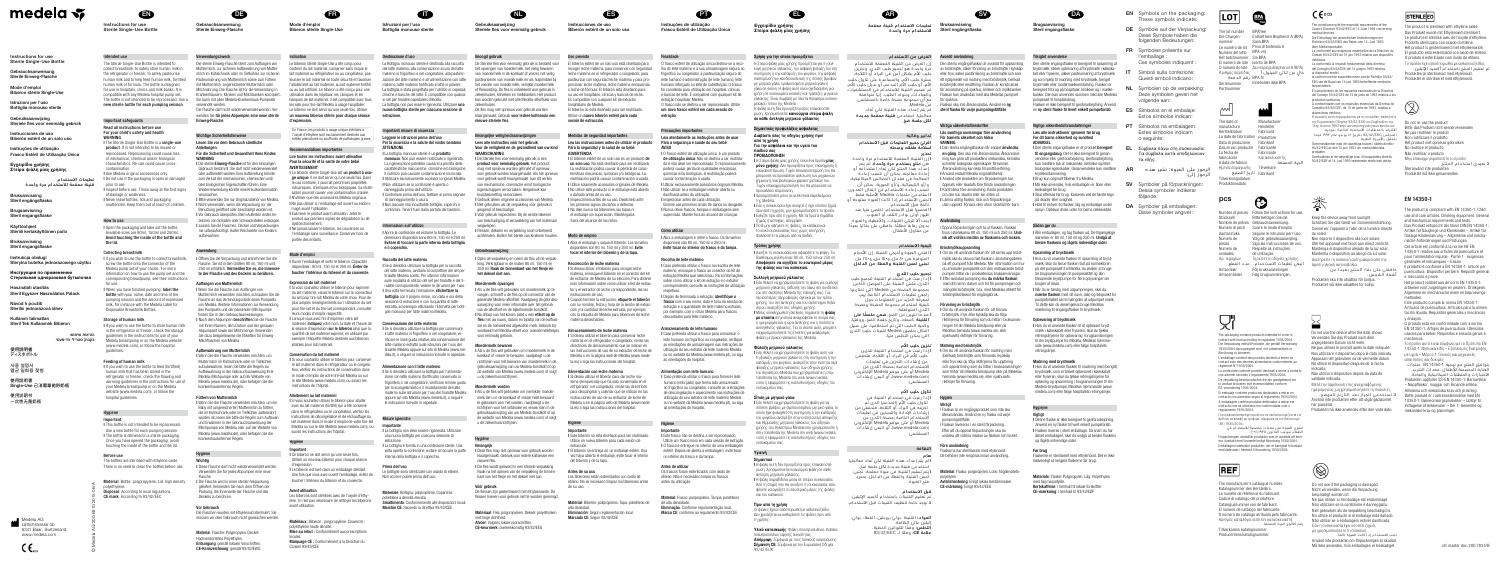EN

nstructions for use Sterile Single-Use Bottl

# © Medela AG/200.6810/2015-06/A Medela AG

Lättichstrasse 4b 6341 Baar, Switzerland www.medela.com

 $\zeta \epsilon_{\scriptscriptstyle{\text{max}}}$ 

# medela <del>v</del>

Instructions for use Sterile Single-Use Bottle

Gebrauchsanweisung Sterile Einweg-Flasche

Mode d'emploi

struzioni per l'uso

Biberon stérile Single-Use

Bottiglia monouso sterile

Steriele fles voor eenmalig gebruik

Bruksanvisning Steril engångsflaska

Gebruiksaanwijzing

Bruksanvisning Steril engangsflask

Instrukcja obsługi Sterylna butelka jednorazowego użytku Инструкция по применению

Instrucciones de uso

Biberón estéril de un solo uso

Instruções de utilização

Návod k použití Sterilní jednorázová láhe

Frasco Estéril de Utilização Única

Steril engangsflask

Εγχειρίδιο χρήσης Στείρα φιάλη μίας χρήσης

> تعليمات االستخدام قنينة معقمة لالستخدام مرة واحدة

Brugsanvisning

Käyttöohjee Steriili kertakäyttöinen pullo

For your child's safety and health WARNING l The Sterile Single-Use Bottle is a single-use product. It is not intended to be reused or

Стерильная одноразовая бутылочка

Használati utasítás

Steril Egyszer Használatos Palack

Kullanım talimatları

Steril Tek Kullanımlık Biberon

הוראות שימוש

בקבוק סטרילי חד-פעמי

使用説明書 ディスポボトル

사용 설명서 멸균 일회용 젖병 I Never leave bottles, lids and packaging unattended. Keep them out of reach of children.

使用說明書 Single-Use 已消毒單拋貯奶瓶 使用说明书

一次性无菌奶瓶

I Open the packaging and take out the bottle. Available sizes are 80ml, 150ml and 250ml. Avoid touching the inside of the bottle and the lid.

Intended use The Sterile Single-Use Bottle is intended to collect breastmilk, to safely store human milk in the refrigerator or freezer, to safely pasteurise human milk and to help feed human milk, fortified human milk or formula. The bottle is designed for use in hospitals, clinics and milk banks. It is compatible with any Medela hospital pump set. The bottle is not intended to be reprocessed. Use a new sterile bottle for each pumping session.

#### Important safeguards Read all instructions before use

Hygiene Important I This bottle is not intended to be reprocessed. Use a new bottle for each pumping session. I The bottle is delivered in a sterile packaging. Once you have opened the packaging, avoid touching the inside of the bottle and the lid

Before use he bottles are sterilised with ethylene oxide.

reprocessed. Reprocessing could cause loss of mechanical, chemical and/or biological characteristics. Re-use could cause crosscontamination. **I Use Medela original accessories only** I Do not use if the packaging is open or damaged prior to use. I Inspect before use. Throw away at the first signs of damage or weakness.

# How to use

### Collecting breastmilk

I If you wish to use the bottle to collect breastmi screw the bottle onto the connector of the Medela pump set of your choice. For more information on how to use the pump set and the corresponding breastpump, see their instruction for use.<br>**I** When you have finished pumping, **label the** 

**WARNUNG**<br>I Die sterile **Einweg-Flasche** ist für den einmaligen Gebrauch bestimmt. Sie darf nicht wiederverwendet oder aufbereitet werden. Fine Aufbereitung könnte zum Verlust der mechanischen, chemischen und/ oder biologischen Eigenschaften führen. Eine Wiederverwendung könnte eine Kreuzkontamination verursachen. I Bitte verwenden Sie nur Originalzubehör von Medela. l Nicht verwenden, wenn die Verpackung vor der Benutzung geöffnet oder beschädigt worden ist. I Vor Gebrauch überprüfen. Beim Auftreten erster Anzeichen von Schäden oder Schwachstellen entsorgen. I Lassen Sie die Flaschen, Deckel und Verpackungen nie unbeaufsichtigt. Außer Reichweite von Kindern aufbewahren.

bottle with your name, date and time of the pumping session and the amount of express milk, for instance with the Medela Label for Disposable Breastmilk Bottles.

# Storage of human milk

I If you wish to use the bottle to store human milk in the refrigerator or freezer, check the storage guidelines in the instructions for use of your Medela breastpump or on the Medela websit (www.medela.com), or follow the hospital guidelines.

# Feeding of human milk

I If you wish to use the bottle to feed (fortified) human milk that has been stored in the refrigerator or freezer, check the thawing and warming quidelines in the instructions for use of your Medela breastpump or on the Medela website (www.medela.com), or follow the hospital guidelines.

I Diese Flasche darf nicht wiederverwendet werder Verwenden Sie für jedes Abpumpen eine neue

Hochverdichtetes Polyethylen. Entsorgung: gemäß lokalen Vorschriften 1zeichnung: gemäß 93/42/EWG Mode d'emploi Biberon stérile Single-Us

There is no need to clean the bottles before use.



Gebrauchsanweisung Sterile Einweg-Flasche

Verwendungszweck

commandations importantes Lire toutes les instructions avant utilisation Pour la sécurité et la santé de votre bébé

Die sterile Einweg-Flasche dient zum Auffangen von Muttermilch, zur sicheren Aufbewahrung von Muttermilch im Kühlschrank oder im Tiefkühler, zur sicheren Pasteurisierung von Muttermilch sowie zum Füttern mit Muttermilch, angereicherter Muttermilch oder Milchnahrung. Die Flasche ist für die Verwendung in Krankenhäusern, Kliniken und Milchbanken konzipiert. Sie kann mit allen Medela-Krankenhaus-Pumpsets verwendet werden. Die Flasche darf nicht wiederverwendet werden. Verwenden Sie für jedes Abpumpen eine neue sterile

Einweg-Flasche. Wichtige Sicherheitshinweise

#### Lesen Sie vor dem Gebrauch sämtliche Anleitungen. Für die Sicherheit und Gesundheit Ihres Kindes

Material: Bottle: polypropylene. Lid: high density polyethylene. Disposal: According to local regulations CE mark: According to 93/42/EEC Flasche. I Die Flasche wird in einer sterilen Verpackung geliefert. Vermeiden Sie nach dem Öffnen de Packung, die Innenseite der Flasche und des Deckels zu berühren.

Anwendung l Öffnen Sie die Verpackung und entnehmen Sie die Flasche. Sie ist in den Größen 80 ml, 150 ml und 250 ml erhältlich. Vermeiden Sie es, die Innenseite der Flasche und des Deckels zu berühren.

locales.<br>**Marquage CE :** Conformément à la Directive du Conseil 93/42/CEE

Istruzioni per l'uso Bottiglia monouso steril

Auffangen von Muttermilch l Wenn Sie die Flasche zum Auffangen von Muttermilch verwenden möchten, schrauben Sie die Flasche an das Verbindungsstück eines Pumpsets von Medela. Weitere Informationen zur Verwendung des Pumpsets und der passenden Milchpumpe inden Sie in den Gebrauchsanweisunger. I Nach dem Abpumpen beschriften Sie die Flasche mit Ihrem Namen, dem Datum und der genauen Abpumpzeit sowie der Milchmenge. Verwenden Sie dazu beispielsweise die Etiketten für Einweg-Milchflaschen von Medela.

### Aufbewahrung von Muttermilch

I Wenn Sie die Flasche verwenden möchten, um Muttermilch im Kühlschrank oder im Tiefkühler aufzubewahren, lesen Sie bitte die Regeln zur Aufbewahrung in der Gebrauchsanweisung Ihrer Medela-Milchpumpe oder auf der Website von Medela (www.medela.de), oder befolgen Sie die krankenhausinternen Regeln.

### Füttern von Muttermilch

Hygiene Wichtig

La bottiglia non deve essere rigenerata. Utilizzar una nuova bottiglia per ciascuna sessione di

### Vor Gebrauch

Le bottiglie sono sterilizzate con ossido di etilene Non occorre pulirle prima dell'uso.

Die Flaschen wurden mit Ethylenoxid sterilisiert. Sie müssen vor dem Gebrauch nicht gewaschen werden.

Materiale: Bottiglia: polipropilene. Coperchio polietilene a densità elevata.

Gebruiksaanwijzing Steriele fles voor eenmalig gebruik

# Material: Flasche: Polypropylen. Deckel:

Indication

Le biberon stérile Single-Use a été conçu pour contenir du lait maternel, conserver sans risque le lait maternel au réfrigérateur ou au congélateur, pasteuriser le lait maternel en toute sécurité et favoriser l'allaitement au lait maternel, au lait maternel fortifié ou au lait artificiel. Le biberon a été conçu pour une utilisation dans les hôpitaux, les cliniques et les banques de lait maternel. Il est compatible avec tous les sets pour tire-lait Medela à usage hospitalier. Le biberon ne doit servir qu'une seule fois. Utilise un nouveau biberon stérile pour chaque séance

> I Vóór gebruik inspecteren. Bij de eerste tekenen van beschadiging of verzwakking van het materiaal

I Flessen, deksels en verpakking nooit onbeheerd achterlaten. Buiten het bereik van kinderen houden.

d'expression.

 En France, les produits à usage unique stérilisés à l'oxyde d'éthylène sont exclusivement destinés aux bébés prématurés ou souffrants de pathologies graves.

AVERTISSEMENT

I Wenn Sie die Flasche verwenden möchten, um ein Baby mit (angereicherter) Muttermilch zu füttern die im Kühlschrank oder im Tiefkühler aufbewahrt worden ist, lesen Sie bitte die Regeln zum Auftauen und Erwärmen in der Gebrauchsanweisung der Milchpumpe von Medela oder auf der Website von Medela (www.medela.de), oder befolgen Sie die krankenhausinternen Regeln. I Si vous souhaitez utiliser le biberon pour allaite avec du lait maternel (fortifié) qui a été conservé dans le réfrigérateur ou le congélateur, vérifiez les instructions de décongélation et de réchauffage du lait maternel dans le mode d'emploi de votre tire-lait Medela ou sur le site Medela (www.medela.com), ou suivez les instructions de l'hôpital.

l Le biberon stérile Single-Use est un produit à usage unique. Il ne doit servir qu'une seule fois. Dans le cas contraire, il pourrait perdre ses propriétés mécaniques, chimiques et/ou biologiques. Sa réutilisation pourrait causer une contamination croisée. I N'utiliser que des accessoires Medela originau l Ne pas utiliser si l'emballage est ouvert ou endom-

magé avant l'utilisation.

I Examiner le produit avant utilisation. Jeter le produit aux premiers signes de dégradation ou de

dysfonctionnement.

portée des enfants

I Ne jamais laisser le biberon, les couvercles ou l'emballage sans surveillance. Conserver hors de

Instrucciones de uso Biberón estéril de un solo uso

Mode d'emploi

l Ouvrir l'emballage et sortir le biberon. Capacités disponibles : 80 ml, 150 ml et 250 ml. Éviter de toucher l'intérieur du biberon et du couvercle.

Expression du lait maternel

l Si vous souhaitez utiliser le biberon pour exprimer du lait maternel, vissez le biberon sur le connecteu du set pour tire-lait Medela de votre choix. Pour de plus amples renseignements sur l'utilisation du set pour tire-lait et du tire-lait correspondant, consulte leurs modes d'emploi respectifs. I Lorsque vous avez fini d'exprimer votre lait maternel, *indiquez* votre nom, la date et l'heure de la séance d'expression sur le biberon ainsi que la quantité de lait maternel exprimé, en utilisant par exemple l'étiquette Medela destinée aux biberons

jetables pour lait maternel. Conservation du lait maternel I Si vous souhaitez utiliser le biberon pour conserve le lait maternel dans le réfrigérateur ou le congélateur, vérifiez les instructions de conservation dans le mode d'emploi de votre tire-lait Medela ou sur le site Medela (www.medela.com), ou suivez les

Cuando termine la extracción, etiquete el biberón con su nombre, fecha y hora de la sesión de extracción y la cantidad de leche extraída, por ejemplo con la etiqueta de Medela para biberones de leche

instructions de l'hôpital. Allaitement au lait maternel

### Hygiène

Important

I Ce biberon ne doit servir qu'une seule fois. Utiliser un nouveau biberon pour chaque séance d'expression.

> Eliminación: Según reglamentación local. Marcado CE: Según 93/42/CEE

I Le biberon est livré dans un emballage stérilisé. Une fois que vous avez ouvert l'emballage, évitez de toucher l'intérieur du biberon et du couvercle.

Avant utilisation Les biberons sont stérilisés avec de l'oxyde d'éthylène. Il n'est pas nécessaire de nettoyer les biberons avant utilisation.

Matériaux : Biberon : polypropylène. Couvercle : polyéthylène haute densité. Mise au rebut : Conformément aux prescriptions Destinazione d'uso

l Caso pretenda utilizar o frasco na recolha de leite materno, enrosque o frasco ao conector do kit de extração Medela que selecionou. Para informações sobre como utilizar o kit de extração e o extrato correspondente, consulte as instruções de utilização respetivas

La Bottiglia monouso sterile è destinata alla raccolta del latte materno, alla conservazione sicura del latte materno in frigorifero o nel congelatore, alla pastorizzazione del latte materno e all'alimentazione con latte materno, latte materno fortificato e latte in polvere. La bottiglia è stata progettata per l'utilizzo in ospedal cliniche e banche del latte. È compatibile con qualsiasi set per tiralatte ospedaliero Medela. La bottiglia non può essere rigenerata. Utilizzare una nuova bottiglia sterile per ciascuna sessione di

> frasco com o seu nome, data e hora da sessão de extração e a quantidade de leite materno extraído, por exemplo, com o rótulo Medela para frascos descartáveis para leite materno.

estrazione.

# Importanti misure di sicurezza

Leggere le istruzioni prima dell'uso Per la sicurezza e la salute del vostro bambino ATTENZIONE

#### Material: Frasco: polipropileno. Tampa: polietileno de alta densidade. Eliminação: Conforme regulamentação local

Marca CE: conforme ao regulamento 93/42/CEE

l La bottiglia monouso sterile è un prodotto monouso. Non può essere riutilizzato o rigenerato La rigenerazione potrebbe causare la perdita delle caratteristiche meccaniche, chimiche e/o biologiche. Il riutilizzo può causare contaminazione incrociata. I Utilizzare esclusivamente accessori originali Medela. l Non utilizzare se la confezione è aperta o danneggiata prima dell'utilizzo. I Controllare prima dell'uso. Gettare al primo segnale di danneggiamento o usura. I Non lasciare mai incustodite bottiglie, coperchi e confezioni. Tenerli fuori dalla portata dei bambini.

### Informazioni sull'utilizzo

l Aprire la confezione ed estrarre la bottiglia. Le dimensioni disponibili sono 80 ml, 150 ml e 250 ml. Evitare di toccare la parte interna della bottiglia e il coperchio.

#### Raccolta del latte materno l Se si desidera utilizzare la bottiglia per la raccolta

Alimentazione con il latte materno I Se si desidera utilizzare la bottiglia per l'alimentazione con latte materno (fortificato) conservato in frigorifero o nel congelatore, verificare le linee guida per lo scongelamento e il riscaldamento del latte materno sulle istruzioni per l'uso del tiralatte Medela oppure sul sito Medela (www.medela.it), o seguire indicazioni ricevute in ospedale

Ι Στείρα φιάλη μίας χρήσης είναι ένα προϊόν **μία** μόνο χρήσης. Δεν προορίζεται προς επανάγρηση επαναποστείρωση. Τυχόν επαναποστείρωσή του θα μπορούσε να προκαλέσει αλλοίωση των μηχανικώ χημικών ή/και βιολογικών χαρακτηριστικών του. Τυχόν επαναχρησιμοποίησή του θα μπορούσε να προκαλέσει επιμόλυνση. I Χρησιμοποιείτε μόνο τα αυθεντικά παρελκόμενα της Medela. I Εάν η συσκευασία έχει ανοιχτεί ή έχει υποστεί ζημιά

del latte materno, avvitarla al connettore del set per tiralatte Medela scelto. Per ulteriori informazioni sulle modalità di utilizzo del set per tiralatte e del t ralatte corrispondente, vedere le istruzioni per l'uso. I Una volta terminata l'estrazione, etichettare la **bottiglia** con il proprio nome, con data e ora della sessione di estrazione e con la quantità di latte estratta, ad esempio utilizzando l'Etichetta per bottiglie monouso per latte materno Medela. Conservazione del latte materno I Se si desidera utilizzare la bottiglia per conservare il latte materno in frigorifero o nel congelatore, verificare le linee guida relative alla conservazione del latte materno estratto sulle istruzioni per l'uso del tiralatte Medela oppure sul sito di Medela (www.medela.it), o seguire le indicazioni ricevute in ospedale.

Misure igieniche Importante

Bruksanvisning Steril engångsflask

estrazione.

Prima dell'uso

I La bottiglia è fornita in una confezione sterile. Una volta aperta la confezione, evitare di toccare la parte

interna della bottiglia e il coperchio.

Smaltimento: Conformemente alle disposizioni locali. Marchio CE: Secondo la direttiva 93/42/CEE

Beoogd gebruik

Användning بدون رقابة مطلقًا. حافظي على بقائبا بعيدًا

De Steriele fles voor eenmalig gebruik is bedoeld voor het opvangen van moedermelk, het veilig bewaren van moedermelk in de koelkast of vriezer, het veilig pasteuriseren van moedermelk en als hulpmiddel bij het voeden van moedermelk, verrijkte moedermelk of flesvoeding. De fles is ontwikkeld voor gebruik in ziekenhuizen, klinieken en melkbanken. Het product kan worden gebruikt met alle Medela-afkolfsets voor ziekenhuizen. De fles mag niet opnieuw voor gebruik worden klaargemaakt. Gebruik voor iedere kolfsessie een

#### Matning med bröstmjölk نخزين حليب الأم

nieuwe steriele fles.

Belangrijke veiligheidsaanwijzingen Lees alle instructies vóór het gebruik Voor de veiligheid en de gezondheid van uw kind

WAARSCHUWING

Material: Flaska: polypropylen. Lock: högdensitets polyetylen. Avfallshantering: Enligt lokala bestämmelse CE-märkning: Enligt 93/42/EEG

Brugsanvisning Steril engangsflask

l De Steriele fles voor eenmalig gebruik is een product voor eenmalig gebruik. Het product mag niet opnieuw worden gebruikt of opnieuw voor gebruik worden klaargemaakt. Als het opnieuw voor gebruik wordt klaargemaakt, kan dit verlies van mechanische, chemische en/of biologische eigenschappen veroorzaken. Hergebruik kan kruisbesmetting veroorzaken. I Gebruik alleen originele accessoires van Medela. l Niet gebruiken als de verpakking vóór gebruik is

geopend of beschadigd.

Den sterile engangsflaske er beregnet til opsamling a brystmælk, sikker opbevaring af brystmælk i køleskabet eller fryseren, sikker pasteurisering af brystmælk og som hjælp til madning med brystmælk, beriget brystmælk eller modermælkserstatning. Flasken er beregnet til brug på hospitaler, klinikker og i mælkebanker. Den kan anvendes sammen med alle Medelas pumpesæt til hospitalsbrug. Flasken er ikke beregnet til genforarbejdning. Anvend en ny steril flaske til hvert enkelt pumpeforløb.

#### Læs alle instruktioner igennem før brug PT Símbolos na embalagem

wegwerpen.

Gebruiksaanwijzing

l Open de verpakking en neem de fles uit de verpakking. Verkrijgbaar in de maten 80 ml, 150 ml en 250 ml. Raak de binnenkant van het flesje en

het deksel niet aan. Moedermelk opvangen

I Hvis du vil anvende flasken til opsamling af brys mælk, skal du skrue flasken fast på konnektoren på det pumpesæt fra Medela, du ønsker at bruge. Se brugsanvisningen til pumpesættet og den tilsvarende brystpumpe for flere oplysninger om brugen af disse. I Når du er færdig med udpumpningen, skal du

l Als u de fles wilt gebruiken om moedermelk op te vangen, schroeft u de fles op de connector van de aewenste Medela-afkolfset. Raadpleeg de gebruik aanwijzing voor meer informatie over het gebruik van de afkolfset en de bijbehorende borstkolf. I Na afloop van het kolven plakt u een etiket op de fles met uw naam, datum en tijdstip van de kolfses sie en de hoeveelheid afgekolfde melk. Gebruik bijvoorbeeld het Medela-etiket voor moedermelkflesjes

voor eenmalig gebruik. Moedermelk bewaren

I Als u de fles wilt gebruiken om moedermelk in de koelkast of vriezer te bewaren, raadpleegt u de richtlijnen voor het bewaren van moedermelk in de gebruiksaanwijzing van uw Medela-borstkolf of op de website van Medela (www.medela.com) of volgt

> Vigtigt I Denne flaske er ikke beregnet til genforarbejdning. Anvend en ny flaske til hvert enkelt pumpeforlø I Flasken leveres i steril emballage. Så snart du har åbnet emballagen, skal du undgå at berøre flaskens og lågets indvendige sider.

u de ziekenhuisrichtlijnen. Moedermelk voeden

u de ziekenhuisrichtlijnen

I Als u de fles wilt gebruiken om (verrijkte) moedermelk die u in de koelkast of vriezer hebt bewaard te gebruiken voor het voeden, raadpleegt u de richtlijnen voor het ontdooien en verwarmen in de gebruiksaanwijzing van uw Medela-borstkolf of op de website van Medela (www.medela.com) of volgt

ال تعيدي استخدام المنتج Återanvänd inte produkten Produktet må ikke genanvende

DE Symbole auf der Verpackung Diese Symbole haben die folgenden Bedeutungen:

Hygiëne Belangrijk

I Deze fles mag niet opnieuw voor gebruik worden klaargemaakt. Gebruik voor iedere kolfsessie een

nieuwe fles.

I De fles wordt geleverd in een steriele verpakking. Raak na het openen van de verpakking de binnenkant van het flesje en het deksel niet aan.

DA Symboler på emballagen Disse symboler angiver:

Sans BPA Le numéro de lot Privo di bisfenolo A Numero del lotto BPA-vrij Het batchnummer Sin BPA El número de lote lsento de BPA

Vóór gebruik

De flessen zijn gesteriliseerd met ethyleenoxide. De flessen hoeven voor gebruik niet te worden gereinigd.

Materiaal: Fles: polypropyleen. Deksel: polyethyleen

met hoge dichtheid. Afvoer: Volgens lokale voorschriften. CE-keurmerk: overeenkomstig 93/42/EEG Uso previsto

The compliance with the essential requirements of the Council Directive 93/42/EEC of 14 June 1993 concerning medical devices. Die Einhaltung der wesentlichen Anforderungen der

El biberón estéril de un solo uso está diseñado para recoger leche materna, para conservar con segurida leche materna en el refrigerador o congelador, para pasteurizar con seguridad leche materna y para proporcionar leche materna, leche materna enriquecida o leche de fórmula. El biberón está diseñado para su uso en hospitales, clínicas y bancos de leche. Es compatible con cualquier kit de extractor

hospitalario de Medela.

El biberón no está diseñado para ser reutilizado. Utilice un nuevo biberón estéril para cada

Η συσκευή αυτή συμμορφούται με τις ουσιώδεις απαιτήσεις της Ευρωπαϊκής Οδηγίας 93/42/ΕΟΚ του Συμβουλίου της 14ης Ιουνίου 1993 περί των ιατροτεχνολονικών προϊόντων االلتزام بالمتطلبات األساسية الخاصة بتوجيه متبرنم بالمستنبات المساسية الكاصة بتوجيها<br>لمجلس 93/42/EEC بتاريخ ١٤ يونيو عام ١٩٩٣ فيما

sesión de extracción.

Medidas de seguridad importantes Lea las instrucciones antes de utilizar el producto Para la seguridad y la salud de su bebé

ADVERTENCIA

يتعلق بالأجيزة الطبية. می بامبوره استعماد.<br>Överensstämmer med de väsentliga kraven i rådets direkti 93/42/EEG av den 14 juni 1993 om medicintekniska

l El biberón estéril de un solo uso es un producto de un solo uso. No está diseñado para ser reutilizado. La reutilización podría causar la pérdida de características mecánicas, químicas y/o biológicas. La reutilización podría causar contaminación cruzada. I Utilice solamente accesorios originales de Medela. l No utilice este producto si el embalaje está abierto

> The packaging contains products intended to come contact with food according to regulation 1935/2004. Die Verpackung enthält Produkte, die gemäß Vero 1935/2004 dazu geeignet sind, mit Lebensmitteln in

emballage contient des produits destinés à entrer en contact avec des denrées alimentaires conformément au

o dañado antes de su uso.

lezione contiene prodotti destinati a venire a contatt con alimenti secondo il regolamento 1935/2004. De verpakking bevat producten die zijn goedgekeurd om in contact te komen met levensmiddelen conform EG-verordening 1935/2004.

I Inspecciónelo antes de su uso. Deséchelo ante los primeros signos de daños o defectos. I No deje nunca los biberones, las tapas ni el embalaje sin supervisión. Manténgalos fuera del alcance de los niños.

> Η συσκευασία περιέχει προϊόντα τα οποία προορίζονται να έρθουν σε επαφή με τρόφιμα, σύμφωνα με τον Κανονισμ

Modo de empleo

l Abra el embalaje y saque el biberón. Los tamaños disponibles son 80 ml, 150 ml y 250 ml. Evite tocar el interior del biberón y de la tapa. Recolección de leche materna l Si desea utilizar el biberón para recoger leche materna, enrosque el biberón en el conector del kit de extractor de Medela de su elección. Para obtene más información sobre cómo utilizar el kit de extractor y el extractor de leche correspondiente, lea las Manufacture Hersteller Fabricant

instrucciones de uso.

Ημ/νία παραγωγής Τillverkare Fabrikant تاريخ التصنيع

materna desechables.

Almacenamiento de leche materna I Si desea utilizar el biberón para conservar leche materna en el refrigerador o congelador, revise las directrices de almacenamiento que se indican en las instrucciones de uso de su extractor de leche de Medela o en la página web de Medela (www.medela.es) o siga las instrucciones del hospital. Alimentación con leche materna I Si desea utilizar el biberón para dar leche ma terna (enriquecida) que ha sido conservada en e refrigerador o el congelador, revise las directrices para descongelar y calentar que se indican en las instrucciones de uso de su extractor de leche de Medela o en la página web de Medela (www.medela.es) o siga las instrucciones del hospital.

Number of pieces Follow the instructions for use. Bitte befolgen Sie die

Seguire le istruzioni per l'uso. Volg de gebruiksaanwijzing. Siga las instrucciones de uso. Respeite as instruções de utilização. Τηρείτε τις οδηγίες χρήσης. اتبعي تعليمات االستخدام. عدد القطع Följ bruksanvisning Følg brugsanvisningen. Antal enheder

Nombre de pièces Gebrauchsanweisung. Numero di pezzi Suivre le mode d'emploi.

Higiene Importante

I Este biberón no está diseñado para ser reutilizado. Utilice un nuevo biberón para cada sesión de

extracción.

I El biberón se entrega en un embalaje estéril. Una vez haya abierto el embalaje, evite tocar el interior

del biberón y de la tapa. Antes de su uso

Los biberones están esterilizados con óxido de etileno. No es necesario limpiar los biberones antes

de su uso.

Material: Biberón: polipropileno. Tapa: polietileno de

# تدابير وقائية اقرئي جميع التعليمات قبل الاستخدام<br>لسلامة طفلك وصحته

alta densidad.

Instruções de utilização Frasco Estéril de Utilização Única

### Finalidade

en gång. Den ska inte återanvändas. Återanvänd ning kan göra att produktens mekaniska, kemiska och/eller biologiska egenskaper försvinner. Återanvändning kan leda till smittöverföring. I Använd endast Medela originaltillbeh l Använd inte produkten om förpackningen har öppnats eller skadats före första användningen. Kontrollera före användning. Kasta produkte om den har skador eller ser sliten ut. I Lämna aldrig flaskor, lock och förpackning utan uppsikt. Förvara dem utom räckhåll för barn. تحذير l إن القنينة المعقمة لالستخدام مرة واحدة هي منتج يستخدم مرة واحدة. لم يتم إعداد هذا المنتج لكي يُعاد استخدامه أو إعادة معالجته. يمكن أن تتسبب إعادة المعالجة في فقدان الخصائص الميكانيكية، و/أو الكيميائية، و/أو الحيوية. يمكن أن تسبب إعادة الاستخدام في انتقال العدوى. l استخدمي ملحقات Medela األصلية فقط. l تجنبي االستخدام إذا كانت العبوة مفتوحة أو تالفة قبل االستخدام. l افحصيها قبل االستخدام. تخلصي منها عند ظهور أولى بوادر التلف أو العيوب. l يجب أال تتركي القنينات، واألغطية، والعبوة

> **المنابع** عن متناول الأطفال.

#### **Bröstmiölksunnsamling** كيفية االستخدام

O frasco estéril de utilização única destina-se à recolha do leite materno e à sua armazenagem segura no frigorífico ou congelador, à pasteurização segura do leite humano e administração de leite humano, leite humano reforçado ou leite de substituição. O frasco foi concebido para utilização em hospitais, clínica e bancos de leite. É compatível com qualquer kit de extração hospitalar Medela. O frasco não se destina a ser reprocessado. Utilize

> ا عندما تنتبين من الضخ، **ضعي ملصقًا على** القنينة باسمك، وتاريخ جلسة الضخ، ووقتها، وكمية الحليب التي تم استخالصها، على سبيل المثال بملصق Medela لقنينات حليب الثدي

um novo frasco estéril em cada sessão de extração.

#### Precauções importantes

### Leia atentamente as instruções antes de usar Para a segurança e saúde do seu bebé AVISO l O frasco estéril de utilização única é um produto

ا لم يتم إعداد هذه القنينة لكى تُعاد معالجتها. استخدمي قنينة جديدة لكل جلسة ضخ. l يتم تسليم القنينة في عبوة معقمة. تجنبي لمس القنينة والغطاء من الداخل، بمجرد

de utilização única. Não se destina a ser reutilizado e não deve ser reprocessado. O reprocessamento poderá causar perda de qualidades mecânicas, químicas e/ou biológicas. A reutilização poderá causar contaminação cruzada. I Utilizar exclusivamente acessórios originais Medela.

> إثيلين عالي الكثافة. **لتخلص:** وفقًا ِللقوانين المحلية. علامة CE: وفقًا لــ 93/42/EEC

l Não utilizar se a embalagem estiver aberta ou danificada antes da utilização. I Inspecionar antes de cada utilização.

Elimine aos primeiros sinais de danos ou desgaste. I Nunca deixe frascos, tampas e embalagens sem supervisão. Manter fora do alcance de crianças.

> Il prodotto è conforme a EN 14350-1: articoli per puericultura. Dispositivi per bere. Requisiti generali neccanici e prove.

#### Como utilizar

Het product voldoet aan de norm EN 14350artikelen voor zuigelingen en peuters. Drinkgerei Algemene en mechanische eisen en beproevingsmethoden.

l Abra a embalagem e retire o frasco. Os tamanhos disponíveis são 80 ml, 150 ml e 250 ml. Evite tocar no interior do frasco e da tampa.

#### Recolha de leite materno

يتوافق المنتج مع توجيه 1-14350 EN :منتجات العناية المخصصة لألطفال .معدات الشرب.

I Depois de terminada a extração, identifique o

### Armazenamento de leite humano

I Caso pretenda utilizar o frasco para armazenar o leite humano no frigorífico ou congelador, verifique as orientações de armazenagem nas instruções de utilização do seu extrator de leite materno Medela ou no website da Medela (www.medela.pt), ou siga as orientações do hospital.

#### Alimentação com leite humano

I Caso pretenda utilizar o frasco para fornecer leite humano (reforçado) que tenha sido armazenado no frigorífico ou congelador, consulte as orientações de descongelação e aquecimento nas instruções de utilização do seu extrator de leite materno Medela ou no website da Medela (www.medela.pt), ou siga as orientações do hospital.

# Higiene

Importante I Este frasco não se destina a ser reprocessado. Utilize um frasco novo em cada sessão de extração. I O frasco é entregue no interior de uma embalage estéril. Depois de aberta a embalagem, evite tocar no interior do frasco e da tampa.

Antes de utilizar Os frascos foram esterilizados com óxido d etileno. Não é necessário limpar os frascos antes da utilização.

Εγχειρίδιο χρήσης Στείρα φιάλη μίας χρήσης

### Χρήση για την οποία προορίζεται

Η Στείρα φιάλη μίας χρήσης προορίζεται για τη συλλογή μητρικού γάλακτος, την ασφαλή φύλαξή του στη συντήρηση ή την κατάψυξη του ψυγείου, την ασφαλή παστερίωσή του και διευκόλυνση της σίτισης βρεφών με μητρικό γάλα, εμπλουτισμένο μητρικό γάλα ή γάλα σε σκόνη. Η φιάλη αυτή είναι σχεδιασμένη για χρήση σε νοσοκομεία, κλινικές και τράπεζες μητρικού γάλακτος. Είναι συμβατή με όλα τα θήλαστρα νοσοκομειακού τύπου της Medela. Η φιάλη αυτή δεν προορίζεται προς επαναποστε ρωση. Χρησιμοποιείτε καινούργια στείρα φιάλη

σε κάθε άντληση μητρικού γάλακτος.

Σημαντικές προφυλάξεις ασφαλείας Διαβάστε όλες τις οδηγίες χρήσης πριν από τη χρήση Για την ασφάλεια και την υγεία του

#### παιδιού σας ΠΡΟΕΙΔΟΠΟΙΗΣΗ

πριν από τη χρήση, μην χρησιμοποιήσετε το προϊόν. I Ελέγξτε πριν από τη χρήση. Με τα πρώτα σημάδια ζημιάς ή αστοχίας, απορρίψ I Ποτέ μην αφήνετε τις φιάλες, τα καπάκια και το υλικό συσκευασίας τους χωρίς επιτήρηση. Φυλάσσετέ τα μακριά από τα παιδιά.

#### Τρόπος χρήσης

I Ανοίξτε τη συσκευασία και αφαιρέστε τη φιάλη. Τα διαθέσιμα μεγέθη είναι: 80 ml, 150 ml και 250 ml. Αποφύγετε να αγγίξετε το εσωτερικό μέρος της φιάλης και του καπακιού.

#### Συλλογή μητρικού γάλακτος

I Εάν θέλετε να χρησιμοποιήσετε τη φιάλη για συλλογή μητρικού γάλακτος, βιδώστε την πάνω στο συνδετικό του σετ άντλησης Medela της επιλογής σας. Για περισσότερες πληροφορίες σχετικά με τον τρόπο χρήσης του σετ άντλησης και του αντίστοιχου θηλάστρου, ανατρέξτε στις οδηγίες χρήσης. I Μόλις ολοκληρωθεί η άντληση, σημάνετε τη φιάλη με ετικέτα στην οποία αναγράφεται το όνομά σας, η ημερομηνία και η ώρα άντλησης και η ποσότητα ντληθέντος νάλακτος. Για το σκοπό αυτό, υπορείτ να χρησιμοποιήσετε τις Ετικέτες για αναλώσιμες φιάλες μητρικού γάλακτος της Medela.

#### Φύλαξη μητρικού γάλακτος

I Εάν θέλετε να χρησιμοποιήσετε τη φιάλη αυτή για τη φύλαξη μητρικού γάλακτος στη συντήρηση ή την κατάψυξη του ψυγείου, ανατρέξτε στην ενότητα περί φύλαξης μητρικού γάλακτος των οδηγιών χρήσης του θηλάστρου Medela που χρησιμοποιείτε ή στην τοποθεσία της Medela στο web (www.medela. com) ή εφαρμόστε τις κατευθυντήριες οδηγίες του νοσοκομείου σας.

#### Σίτιση με μητρικό γάλα

I Εάν θέλετε να χρησιμοποιήσετε τη φιάλη για να σιτίσετε βρέφος με (εμπλουτισμένο) μητρικό γάλα, το οποίο έχει φυλαχθεί στη συντήρηση ή την κατάψυξη ου ψυγείου, ανατρέξτε στην ενότητα περί απόψυξη και θέρμανσης μητρικού γάλακτος των οδηγιών χρήσης του θηλάστρου Medela που χρησιμοποιείτε ή στην τοποθεσία της Medela στο web (www.medela. com) ή εφαρμόστε τις κατευθυντήριες οδηγίες του νοσοκομείου σας.

### Υγιεινή

#### Σημαντικό Ι Η φιάλη αυτή δεν προορίζεται προς επαναποστε ρωση. Χρησιμοποιείτε καινούργια φιάλη σε κάθε άντληση μητρικού γάλακτος. I Η φιάλη παραδίδεται μέσα σε στείρα συσκευασία. Από τη στιγμή που θα ανοίξετε τη συσκευασία, αποφύγετε να αγγίξετε το εσωτερικό μέρος της φιάλης

και του καπακιού.

Πριν από τη χρήση Οι φιάλες έχουν αποστειρωθεί με αιθυλενοξείδιο.

# Δεν χρειάζεται να καθαρίσετε τις φιάλες πριν από τη χρήση.

Υλικό κατασκευής: Φιάλη: πολυπροπυλένιο. Καπάκι: πολυπροπυλένιο υψηλής πυκνότητας. **Απόρριψη**: Σύμφωνα με τους τοπικούς κανονισμοι Σήμανση CE: Σύμφωνα με την Ευρωπαϊκή Οδηγία 93/42/ΕΟΚ

bröstmjölk eller ersättning. Flaskan är konstruerad för användning på sjukhus, kliniker och mjölkbanke Flaskan kan användas med alla Medelas pumpset

för sjukhus.

Viktiga säkerhetsföreskrifter Läs samtliga anvisningar före användning För barnets säkerhet och hälsa

VARNING

l Den sterila engångsflaskan får endast användas

Flaskan ska inte återanvändas. Använd en ny,

l Öppna förpackningen och ta ut flaskan. Flaskan finns i storlekarna 80 ml, 150 ml och 250 ml. Undvik att vidröra insidan av flaskorna och locken.

#### Förvaring av bröstmjölk

I Om du vill använda flaskan för att förvara bröstmjölk i frys eller kylskåp ska du följa riktlinjerna för förvaring som du hittar i bruksanvisningen till din Medela bröstpump eller på Medelas hemsida (www.medela.se), eller sjukhusets riktlinjer för förvaring.

I Om du vill använda flaskan för matning med (berikad) bröstmiölk som förvarats i kylskår eller frys ska du följa riktlinjerna för upptining och uppvärmning som du hittar i bruksanvisningen som tillhör din Medela bröstpump eller på Medelas hemsida (www.medela.se), eller sjukhusets riktlinjer för förvaring.

# تناول حليب الأم

#### Tilsigtet anvendelse

# Vigtige sikkerhedsforanstaltninger

#### For dit barns sikkerhed og sundhed ADVARSEL

l Den sterile engangsflaske er et produkt beregnet til engangsbrug. Det er ikke beregnet til genanvendelse eller genforarbejdning. Genforarbejdning kan medføre tab af mekaniske, kemiske og/eller biologiske egenskaber. Genanvendelse kan medføre krydskontaminering. I Brug kun originalt tilbehør fra Medela. l Må ikke anvendes, hvis emballagen er åben eller beskadiget før brug. I Skal efterses før brug. Kasseres ved de første tegn på skader eller svaghed. I Hold til enhver tid flasker, låg og emballage under opsyn. Opbevar disse uden for børns rækkevidde.

### Sådan gør du

l Åbn emballagen, og tag flasken ud. De tilgængelige størrelser er 80 ml, 150 ml og 250 ml. Undgå a berøre flaskens og lågets indvendige sider.

#### Opsamling af brystmælk

mærke flasken med dit navn, dato og tidspunkt for mærkning til engangsflasker til brystmælk.

pumpeforløbet samt mængden af udpumpet mælk. Til dette kan du eksempelvis bruge Medelas

### Opbevaring af brystmælk

# $\mathsf{C}\mathsf{C}^{\scriptscriptstyle{0123}}$

I Hvis du vil anvende flasken til at opbevare brystmælk i køleskabet eller fryseren, skal du tjekke retningslinjerne for opbevaring i brugsanvisninge til din brystpumpe fra Medela, Medelas hjemmeside (www.medela.com) eller følge hospitalets retningslinjer.

#### Madning med brystmæl

I Hvis du vil anvende flasken til madning med (beriget) brystmælk, som er blevet opbevaret i køleskabet eller fryseren, skal du tjekke retningslinjerne for optøning og opvarmning i brugsanvisningen til din Medela-brystpumpe, Medelas hjemmeside (www. medela.com) eller følge hospitalets retningslinjer.

### Hygiejne

#### Før brug

Flaskerne er steriliseret med ethylenoxid. Det er ikke nødvendigt at rengøre flaskerne før brug.

Materiale: Flaske: Polypropylen. Låg: Polyethylen med høj massefylde. **Bortskaffelse: I henhold til lokale forskrifter** CE-mærkning: I henhold til 93/42/EØF

Do not re-use the product Bitte das Produkt nicht wiederverwende Ne pas réutiliser le produit Non riutilizzare il prodotto Het product niet opnieuw gebruiken No reutilice el producto Não reutilizar o produto Μην επαναχρησιμοποιείτε το προϊόν

### EN Symbols on the packaging: These symbols indicate:

- FR Symboles présents sur l'emballage : Ces symboles indiquent
- Simboli sulla confezione: Questi simboli indicano:
- NL Symbolen op de verpakking: Deze symbolen geven het volgende aan:

ES Símbolos en el embalaje: Estos símbolos indican:

Estes símbolos indicam

o seguinte:

# EL Σύμβολα πάνω στη συσκευασία:

Τα σύμβολα αυτά υποδηλώνουν

τα εξής:

الرموز إلى:

الرموز على العبوة: تشير هذه AR SV Symboler på förpackningen:

Avsedd användning Den sterila engångsflaskan är avsedd för uppsamling av bröstmjölk, säker förvaring av bröstmjölk i kylskåp eller frys, säker pastörisering av bröstmjölk och som ett hjälpmedel vid matning med bröstmjölk, berikad الغرض من االستخدام إن الغرض من القنينة المعقمة لالستخدام .<br>مرة واحدة هو تجميع حليب الثدي، وتخزين حليب األم بشكل آمن في البراد أو الثالجة، بسترة حليب األم، والمساعدة على تناول حليب

Dessa symboler indikerar

följande:

BPAfree

 $\frac{BPA}{\text{froot}}$ 

Enthält kein Bisphenol A (BPA)

fri-BPA ٍ خال من ثنائي الفينول أ

The lot number Die Chargennummer

**LOT** 

Δεν περιέχει Bisphenol-A (BPA) O número do lote

Indeholder ikke BPA Serienummer

La date de fabrication Produttore

Datum van productie - Fabricante

Αριθμός παρτίδας رقم الدفعة

Partinummer

Do not use if the packaging is damaged. Nicht verwenden, wenn die Verpackung beschädigt worden ist.

Ne pas utiliser si l'emballage est endommagé. Non utilizzare se la confezione è danneggiata Niet gebruiken als de verpakking beschadigd is. No utilice el producto si el embalaje está dañade Não utilizar se a embalagem estiver danificada. Εάν η συσκευασία έχει υποστεί ζημιά,

μη χρησιμοποιήσετε τη συσκευή. تجنب االستخدام إذا كانت العبوة تالفة.

Använd inte produkten om förpackningen är skadad. Må ikke anvendes, hvis emballagen er beskadiget.

l Om du vill använda flaskan för att samla upp bröstmjölk ska du skruva fast flaskan i anslutningsdele på ett pumpset från Medela. Mer information om hur du använder pumpsetet och den motsvarande bröstpumpen hittar du i produkternas bruksanvisninga I Efter avslutad pumpning ska du märka flaskan med ditt namn, datum och tid för pumpningen och mängden bröstmjölk, t.ex. med Medelas etikett för bröstmjölksflaskor för engångsbruk. l افتحي العبوة وأخرجي القنينة. إن األحجام تجنبي لمس القنينة والغطاء من الداخل. l ِ إذا رغبت في استخدام القنينة لتجميع حليب

Richtlinie 93/42/EWG des Rates vom 14. Juni 1993 über Medizinprodukte.

La conformité aux exigences essentielles de la Directive du Conseil 93/42/CEE du 14 juin 1993 relative aux dispositifs

médicaux. La conformità ai requisiti fondamentali della direttiva del Consiglio 93/42/CEE del 14 giugno 1993 relativa

ai dispositivi medici. Is conform met de essentiële eisen van de Richtlijn 93/42/ EEG van de Raad van 14 juni 1993 betreffende medische

hulpmiddelen. El cumplimiento de los requisitos esenciales de la Directiva del Consejo 93/42/CEE de 14 de junio de 1993 relativa a los productos sanitarios.

A conformidade com os requisitos essenciais da Diretiva do Conselho 93/42/CEE, de 14 de junho de 1993, relativa a dispositivos médicos.

Hygien Viktiat I Flaskan är en engångsprodukt som inte ska återanvändas. Använd en ny flaska vid varje pumpningstillfälle. laskan levereras i en steril förpackni Efter att du öppnat förpackningen ska du undvika att vidröra insidan av flaskan och locket. l إذا ر ِ غبت في استخدام القنينة في نناول حليب ّالأم (المدعم) الذي تَم تخزينه في البراد أو الثالجة، فتحققي من إرشادات اإلذابة والتسخين في تعليمات االستخدام الخاصة بمضخة الثدي من Medela أو على موقع Medela اإللكتروني )com.medela.www)، أو اتبعي إرشادات المستشفى.

#### Före användning النظافة

Flaskorna har steriliserats med etylenoxid. De behöver inte rengöras innan användning. هام

produkter. Overholdelse af de væsentlige krav i Europarådets direktiv 93/42/EØF af 14. juni 1993 vedrørende medicinsk udstyr.



 $\Box$ 

Keep the device away from sunlight.

Berührung zu kommen.

règlement N°1935/2004.

El embalaje contiene productos destinados a entrar en contacto con alimentos según el reglamento 1935/2004. A embalagem contém produtos destinados a entrar em contacto com os alimentos em conformidade com o

regulamento 1935/2004.

(ΕΚ) 1935/2004.

**REF** 

تحتوي العبوة على منتجات مخصصة لالستخدام في

الطعام بموجب القانون .2004/1935

Förpackningen innehåller produkter som är avsedda att komma i kontakt med livsmedel enligt förordning 1935/2004. Ilagen indeholder produkter, der er beregnet til kontal med fødevarer i henhold til forordning 1935/2004.

The manufacturer's catalogue number. Katalognummer des Herstellers. Le numéro de référence du fabricant. Codice di catalogo del produttore. Catalogusnummer van de fabrikant. El número de catálogo del fabricante. O número de catálogo atribuído pelo fabricante. Αριθμός καταλόγου από τον κατασκευαστή.

رقم كتالوج الجهة المصنعة.

Tillverkarens katalognummer. Producentens katalognummer.

Fabrikant

Fabricante Κατασκευαστής

الجهة المصنعة

The date of manufacture Herstelldatum Data di produzione La fecha de fabricación A data de fabrico

*M* 

Tillverkningsdatum Produktionsdato

> Do not use the device after the date shown. Verwenden Sie das Produkt nach dem angegebenen Datum nicht mehr.

Ne pas utiliser le produit après la date indiquée. Non utilizzare il dispositivo dopo la data indicata. Apparaat niet gebruiken na de vermelde datum. No utilice el dispositivo después de la fecha

indicada. Não utilizar o dispositivo depois da data de validade indicada.

Μετά την παρέλευση της αναγραφόμενης ημερομηνίας, μη χρησιμοποιήσετε τη συσκευή.

ال تستخدمي الجهاز بعد التاريخ الموضح. Använd inte produkten efter att utgångsdatumet har passerat.

Produktet må ikke anvendes efter den viste dato.



Schützen Sie das Gerät vor Sonneneinstrahlung. nserver l'appareil à l'abri de la lumière directe du soleil.

Non esporre il dispositivo alla luce solare. Stel het apparaat niet bloot aan direct zonlicht. Mantenga el dispositivo alejado de la luz sola Mantenha o dispositivo ao abrigo da luz solar. Διατηρείτε τη συσκευή αυτή μακριά από την

άμεση ηλιακή ακτινοβολία.

ً حافظي على بقاء المنتج بعيدا عن أشعة الشمس. Produkten ska inte utsättas för solljus.

Produktet må ikke udsættes for sollys.

Stückzahl

Aantal stuks Número de piezas Número de unidades Αρ. τεμαχίων Antal delar

pcs

The product is sterilised with ethylene oxide. Das Produkt wurde mit Ethylenoxid sterilisiert. Le produit est stérilisé avec de l'oxyde d'éthylène rodotto sterilizzato con ossido di etilene. Het product is gesteriliseerd met ethyleenoxide. El producto está esterilizado con óxido de etileno O produto é esterilizado com óxido de etileno. Το προϊόν έχει αποστειρωθεί με αιθυλενοξείδιο.

تم تعقيم المنتج باستخدام أكسيد اإلثيلين. Produkten är steriliserad med etylenoxid. Produktet er steriliseret med ethylenoxid.



AR

تعليمات االستخدام قنينة معقمة لالستخدام مرة واحدة

steril flaska för varje pumpningstillfälle. لم يتم إعداد هذه القنينة لكي تُعاد الأم، أو حليب الأم المدعم، أو بديا رحليب الأم تم تصميم القنينة لالستخدام في المستشفيات، والعيادات، وبنوك الحليب. إنها متوافقة مع أي مجموعة مضخة خاصة بالمستشفى من Medela. معالجت<mark>ب</mark>ا. استخدمي **قنينة معقّمة جديدة** 

لكل جلسة ضخ.

المتوفرة هي 80 مل، و150 مل، و250 مل.

تجميع حليب الثدي

الثدي، فثبتي القنينة على الموصل الخاص بمجموعة المضخة من Medela التي تختارينها. راجعي تعليمات االستخدام الخاصة بهم، لمعرفة المزيد من المعلومات حول كيفية استخدام مجموعة المضخة ومضخة

الثدي المتوافقة.

التي يمكن التخلص منها.

l ِ إذا رغبت في استخدام القنينة لتخزين حليب األم في البراد أو الثالجة، فتحققي من إرشادات التخزين في تعليمات االستخدام الخاصة بمضخة الثدي من Medela أو على موقع Medela اإللكتروني )com.medela.www)، أو اتبعي إرشادات

المستشفى.

فتح العبوة. قبل االستخدام

تم تعقيم القنينات باستخدام أكسيد اإلثيلين. ال توجد حاجة لتنظيف القنينات قبل االستخدام.

المواد: القنينة: بولي بروبلين. الغطاء: بولي

# EN 14350-1

The product is compliant with EN 14350-1: Child use and care articles. Drinking equipment. General and mechanical requirements and tests. Das Produkt entspricht der Norm DIN EN 14350-1:

Artikel für Säuglinge und Kleinkinder – Artikel für ige Kindernahrung – Allgemeine und mech nische Anforderungen und Prüfungen. Cet article est conforme à la norme NF EN

14350-1 relative aux articles de puériculture et pour l'alimentation liquide. Partie 1 : exigences générales et mécaniques – Essais

Este producto cumple la norma EN 14350-1: Artículos de puericultura. Artículos para la alimentación líquida. Requisitos generales y mecánicos

y ensayos. O produto está em conformidade com a norma EN 14350-1: Artigos de puericultura. Utensílios usados para beber. Requisitos e ensaios gerais e mecânicos.

Το προϊόν αυτό είναι σύμφωνο με το Πρότυπο EN 14350-1: Νηπιακά είδη – Εξοπλισμός διατροφής με υγρά – Μέρος 1: Γενικές και μηχανικές απαιτήσεις και δοκιμές

االختبارات والمتطلبات الميكانيكية والعامة. Produkten uppfyller SS-EN 14350-1: Barnartiklar – Nappflaskor, muggar och liknande artiklar.

Allmänna och mekaniska krav och provning. Dette produkt er i overensstemmelse med EN 14350-1: Børneomsorgsprodukter – Udstyr til indtagelse af drikkevarer – Del 1: Generelle og mekaniske krav og prøvninger.